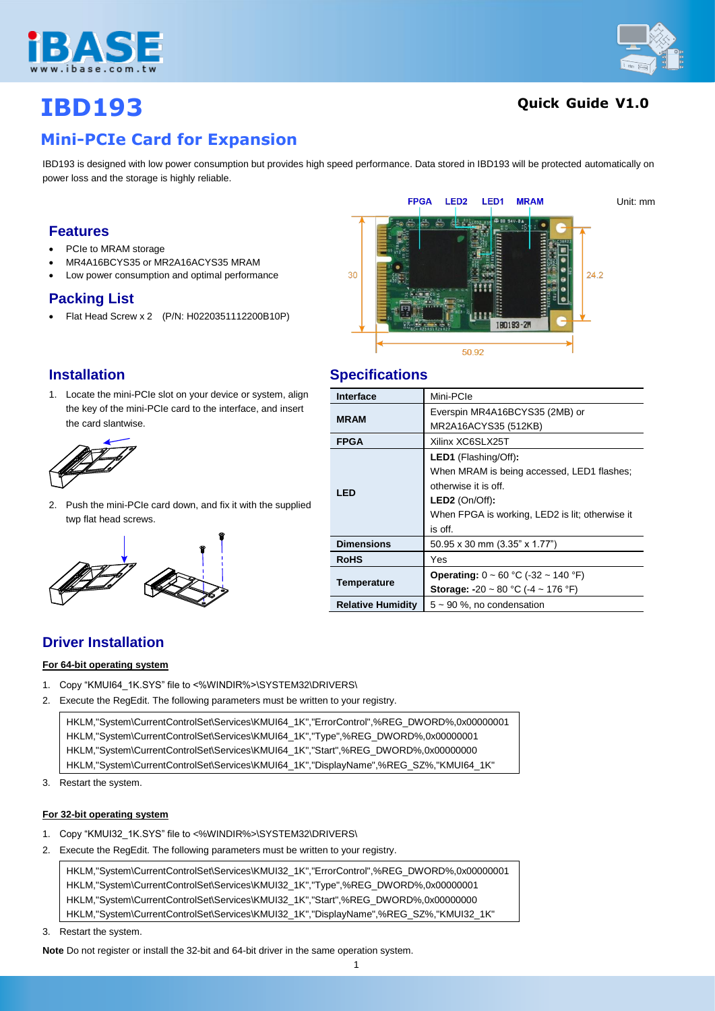



# **IBD193 Quick** Guide V1.0

# **Mini-PCIe Card for Expansion**

IBD193 is designed with low power consumption but provides high speed performance. Data stored in IBD193 will be protected automatically on power loss and the storage is highly reliable.

**Specifications**

#### **Features**

- PCIe to MRAM storage
- MR4A16BCYS35 or MR2A16ACYS35 MRAM
- Low power consumption and optimal performance

#### **Packing List**

• Flat Head Screw x 2 (P/N: H0220351112200B10P)



## **Installation**

1. Locate the mini-PCIe slot on your device or system, align the key of the mini-PCIe card to the interface, and insert the card slantwise.



2. Push the mini-PCIe card down, and fix it with the supplied twp flat head screws.



| Interface                | Mini-PCIe                                                           |  |  |
|--------------------------|---------------------------------------------------------------------|--|--|
|                          | Everspin MR4A16BCYS35 (2MB) or                                      |  |  |
| <b>MRAM</b>              | MR2A16ACYS35 (512KB)                                                |  |  |
| <b>FPGA</b>              | Xilinx XC6SLX25T                                                    |  |  |
|                          | <b>LED1</b> (Flashing/Off):                                         |  |  |
|                          | When MRAM is being accessed, LED1 flashes;                          |  |  |
| LED                      | otherwise it is off.                                                |  |  |
|                          | $LED2$ (On/Off):                                                    |  |  |
|                          | When FPGA is working, LED2 is lit; otherwise it                     |  |  |
|                          | is off.                                                             |  |  |
| <b>Dimensions</b>        | 50.95 x 30 mm (3.35" x 1.77")                                       |  |  |
| <b>RoHS</b>              | Yes                                                                 |  |  |
|                          | <b>Operating:</b> $0 \sim 60 \degree C$ (-32 $\sim 140 \degree F$ ) |  |  |
| <b>Temperature</b>       | <b>Storage: -20 ~ 80 °C (-4 ~ 176 °F)</b>                           |  |  |
| <b>Relative Humidity</b> | $5 \sim 90$ %, no condensation                                      |  |  |

## **Driver Installation**

#### **For 64-bit operating system**

- 1. Copy "KMUI64\_1K.SYS" file to <%WINDIR%>\SYSTEM32\DRIVERS\
- 2. Execute the RegEdit. The following parameters must be written to your registry.

| HKLM,"System\CurrentControlSet\Services\KMUI64_1K","ErrorControl",%REG_DWORD%,0x00000001 |
|------------------------------------------------------------------------------------------|
| HKLM,"System\CurrentControlSet\Services\KMUI64_1K","Type",%REG_DWORD%,0x00000001         |
| HKLM,"System\CurrentControlSet\Services\KMUI64_1K","Start",%REG_DWORD%,0x00000000        |
| HKLM,"System\CurrentControlSet\Services\KMUI64_1K","DisplayName",%REG_SZ%,"KMUI64_1K"    |

3. Restart the system.

#### **For 32-bit operating system**

- 1. Copy "KMUI32\_1K.SYS" file to <%WINDIR%>\SYSTEM32\DRIVERS\
- 2. Execute the RegEdit. The following parameters must be written to your registry.

HKLM,"System\CurrentControlSet\Services\KMUI32\_1K","ErrorControl",%REG\_DWORD%,0x00000001 HKLM,"System\CurrentControlSet\Services\KMUI32\_1K","Type",%REG\_DWORD%,0x00000001 HKLM,"System\CurrentControlSet\Services\KMUI32\_1K","Start",%REG\_DWORD%,0x00000000 HKLM,"System\CurrentControlSet\Services\KMUI32\_1K","DisplayName",%REG\_SZ%,"KMUI32\_1K"

**Note** Do not register or install the 32-bit and 64-bit driver in the same operation system.

<sup>3.</sup> Restart the system.